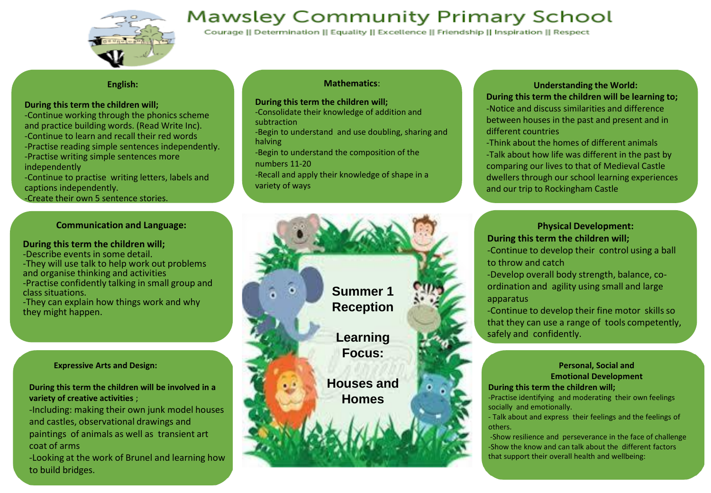

# **Mawsley Community Primary School**

Courage || Determination || Equality || Excellence || Friendship || Inspiration || Respect

#### **English:**

#### **During this term the children will;**

- -Continue working through the phonics scheme and practice building words. (Read Write Inc). -Continue to learn and recall their red words
- -Practise reading simple sentences independently.
- -Practise writing simple sentences more independently
- -Continue to practise writing letters, labels and captions independently.
- -Create their own 5 sentence stories.

#### **Communication and Language:**

#### **During this term the children will;**

- -Describe events in some detail.
- -They will use talk to help work out problems and organise thinking and activities -Practise confidently talking in small group and class situations.
- -They can explain how things work and why they might happen.

#### **Expressive Arts and Design:**

**During this term the children will be involved in a variety of creative activities** ;

-Including: making their own junk model houses and castles, observational drawings and paintings of animals as well as transient art coat of arms

-Looking at the work of Brunel and learning how to build bridges.

## **Mathematics**:

#### **During this term the children will;**

- -Consolidate their knowledge of addition and
- subtraction
- -Begin to understand and use doubling, sharing and halving
- -Begin to understand the composition of the numbers 11-20
- -Recall and apply their knowledge of shape in a variety of ways

**Understanding the World: During this term the children will be learning to;** -Notice and discuss similarities and difference between houses in the past and present and in different countries

-Think about the homes of different animals -Talk about how life was different in the past by comparing our lives to that of Medieval Castle dwellers through our school learning experiences and our trip to Rockingham Castle

# **Physical Development: During this term the children will;**

- -Continue to develop their control using a ball to throw and catch
- -Develop overall body strength, balance, coordination and agility using small and large apparatus

-Continue to develop their fine motor skills so that they can use a range of tools competently, safely and confidently.

#### **Personal, Social and Emotional Development**

#### **During this term the children will;**

-Practise identifying and moderating their own feelings socially and emotionally.

- Talk about and express their feelings and the feelings of others.

-Show resilience and perseverance in the face of challenge -Show the know and can talk about the different factors that support their overall health and wellbeing: